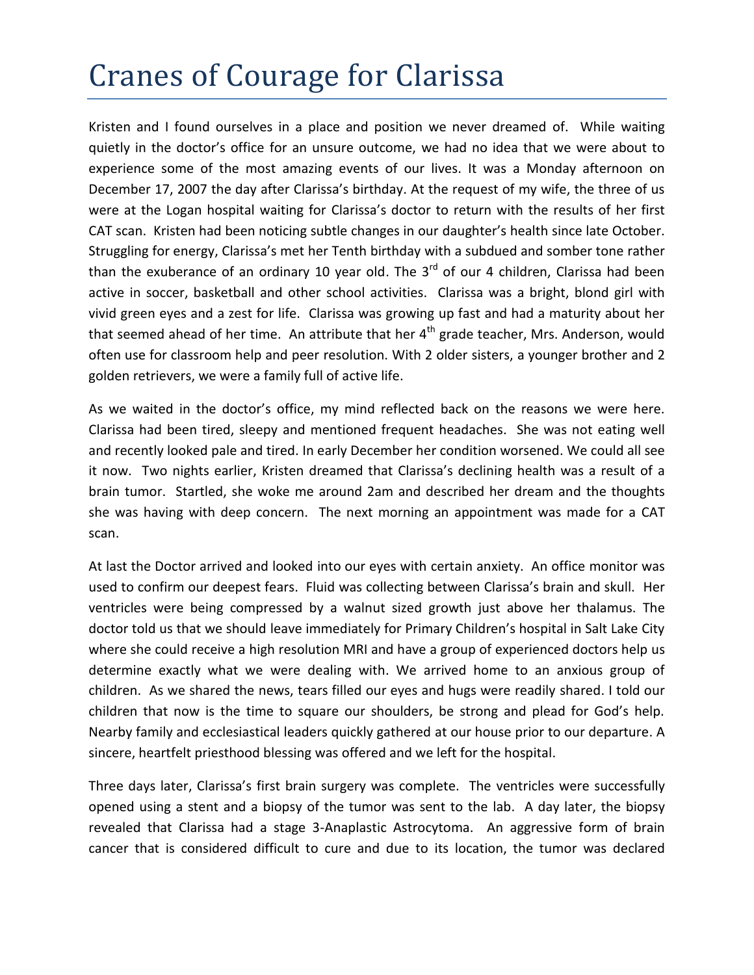## Cranes of Courage for Clarissa

Kristen and I found ourselves in a place and position we never dreamed of. While waiting quietly in the doctor's office for an unsure outcome, we had no idea that we were about to experience some of the most amazing events of our lives. It was a Monday afternoon on December 17, 2007 the day after Clarissa's birthday. At the request of my wife, the three of us were at the Logan hospital waiting for Clarissa's doctor to return with the results of her first CAT scan. Kristen had been noticing subtle changes in our daughter's health since late October. Struggling for energy, Clarissa's met her Tenth birthday with a subdued and somber tone rather than the exuberance of an ordinary 10 year old. The  $3<sup>rd</sup>$  of our 4 children, Clarissa had been active in soccer, basketball and other school activities. Clarissa was a bright, blond girl with vivid green eyes and a zest for life. Clarissa was growing up fast and had a maturity about her that seemed ahead of her time. An attribute that her  $4<sup>th</sup>$  grade teacher, Mrs. Anderson, would often use for classroom help and peer resolution. With 2 older sisters, a younger brother and 2 golden retrievers, we were a family full of active life.

As we waited in the doctor's office, my mind reflected back on the reasons we were here. Clarissa had been tired, sleepy and mentioned frequent headaches. She was not eating well and recently looked pale and tired. In early December her condition worsened. We could all see it now. Two nights earlier, Kristen dreamed that Clarissa's declining health was a result of a brain tumor. Startled, she woke me around 2am and described her dream and the thoughts she was having with deep concern. The next morning an appointment was made for a CAT scan.

At last the Doctor arrived and looked into our eyes with certain anxiety. An office monitor was used to confirm our deepest fears. Fluid was collecting between Clarissa's brain and skull. Her ventricles were being compressed by a walnut sized growth just above her thalamus. The doctor told us that we should leave immediately for Primary Children's hospital in Salt Lake City where she could receive a high resolution MRI and have a group of experienced doctors help us determine exactly what we were dealing with. We arrived home to an anxious group of children. As we shared the news, tears filled our eyes and hugs were readily shared. I told our children that now is the time to square our shoulders, be strong and plead for God's help. Nearby family and ecclesiastical leaders quickly gathered at our house prior to our departure. A sincere, heartfelt priesthood blessing was offered and we left for the hospital.

Three days later, Clarissa's first brain surgery was complete. The ventricles were successfully opened using a stent and a biopsy of the tumor was sent to the lab. A day later, the biopsy revealed that Clarissa had a stage 3-Anaplastic Astrocytoma. An aggressive form of brain cancer that is considered difficult to cure and due to its location, the tumor was declared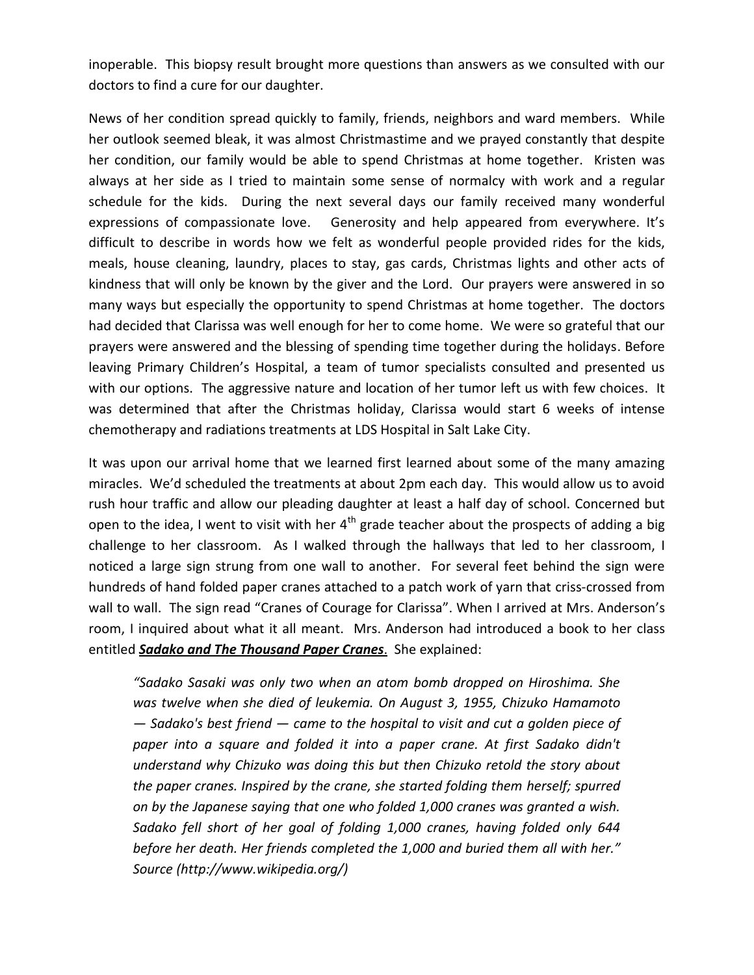inoperable. This biopsy result brought more questions than answers as we consulted with our doctors to find a cure for our daughter.

News of her condition spread quickly to family, friends, neighbors and ward members. While her outlook seemed bleak, it was almost Christmastime and we prayed constantly that despite her condition, our family would be able to spend Christmas at home together. Kristen was always at her side as I tried to maintain some sense of normalcy with work and a regular schedule for the kids. During the next several days our family received many wonderful expressions of compassionate love. Generosity and help appeared from everywhere. It's difficult to describe in words how we felt as wonderful people provided rides for the kids, meals, house cleaning, laundry, places to stay, gas cards, Christmas lights and other acts of kindness that will only be known by the giver and the Lord. Our prayers were answered in so many ways but especially the opportunity to spend Christmas at home together. The doctors had decided that Clarissa was well enough for her to come home. We were so grateful that our prayers were answered and the blessing of spending time together during the holidays. Before leaving Primary Children's Hospital, a team of tumor specialists consulted and presented us with our options. The aggressive nature and location of her tumor left us with few choices. It was determined that after the Christmas holiday, Clarissa would start 6 weeks of intense chemotherapy and radiations treatments at LDS Hospital in Salt Lake City.

It was upon our arrival home that we learned first learned about some of the many amazing miracles. We'd scheduled the treatments at about 2pm each day. This would allow us to avoid rush hour traffic and allow our pleading daughter at least a half day of school. Concerned but open to the idea, I went to visit with her  $4<sup>th</sup>$  grade teacher about the prospects of adding a big challenge to her classroom. As I walked through the hallways that led to her classroom, I noticed a large sign strung from one wall to another. For several feet behind the sign were hundreds of hand folded paper cranes attached to a patch work of yarn that criss-crossed from wall to wall. The sign read "Cranes of Courage for Clarissa". When I arrived at Mrs. Anderson's room, I inquired about what it all meant. Mrs. Anderson had introduced a book to her class entitled *Sadako and The Thousand Paper Cranes*. She explained:

*"Sadako Sasaki was only two when an atom bomb dropped on Hiroshima. She was twelve when she died of leukemia. On [August 3,](http://en.wikipedia.org/wiki/August_3) [1955,](http://en.wikipedia.org/wiki/1955) Chizuko Hamamoto — Sadako's best friend — came to the hospital to visit and cut a golden piece of paper into a square and folded it into a [paper crane.](http://en.wikipedia.org/wiki/Origami) At first Sadako didn't understand why Chizuko was doing this but then Chizuko retold the story about the paper cranes. Inspired by the crane, she started folding them herself; spurred on by [the Japanese saying](http://en.wikipedia.org/wiki/Thousand_origami_cranes) that one who folded 1,000 cranes was granted a wish. Sadako fell short of her goal of folding 1,000 cranes, having folded only 644 before her death. Her friends completed the 1,000 and buried them all with her." Source (http://www.wikipedia.org/)*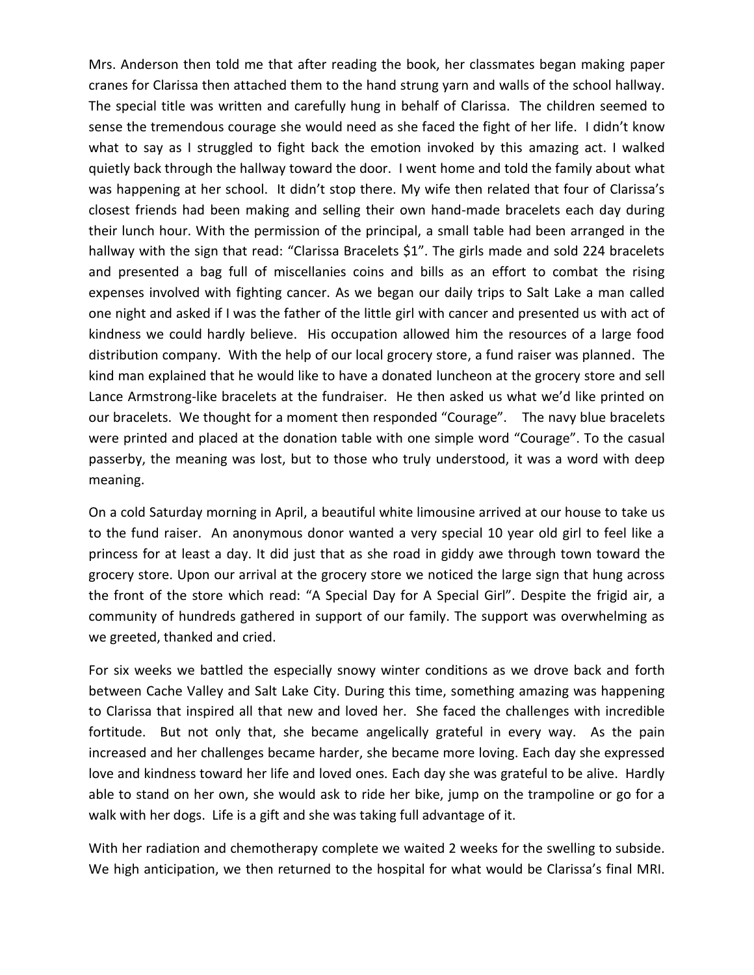Mrs. Anderson then told me that after reading the book, her classmates began making paper cranes for Clarissa then attached them to the hand strung yarn and walls of the school hallway. The special title was written and carefully hung in behalf of Clarissa. The children seemed to sense the tremendous courage she would need as she faced the fight of her life. I didn't know what to say as I struggled to fight back the emotion invoked by this amazing act. I walked quietly back through the hallway toward the door. I went home and told the family about what was happening at her school. It didn't stop there. My wife then related that four of Clarissa's closest friends had been making and selling their own hand-made bracelets each day during their lunch hour. With the permission of the principal, a small table had been arranged in the hallway with the sign that read: "Clarissa Bracelets \$1". The girls made and sold 224 bracelets and presented a bag full of miscellanies coins and bills as an effort to combat the rising expenses involved with fighting cancer. As we began our daily trips to Salt Lake a man called one night and asked if I was the father of the little girl with cancer and presented us with act of kindness we could hardly believe. His occupation allowed him the resources of a large food distribution company. With the help of our local grocery store, a fund raiser was planned. The kind man explained that he would like to have a donated luncheon at the grocery store and sell Lance Armstrong-like bracelets at the fundraiser. He then asked us what we'd like printed on our bracelets. We thought for a moment then responded "Courage". The navy blue bracelets were printed and placed at the donation table with one simple word "Courage". To the casual passerby, the meaning was lost, but to those who truly understood, it was a word with deep meaning.

On a cold Saturday morning in April, a beautiful white limousine arrived at our house to take us to the fund raiser. An anonymous donor wanted a very special 10 year old girl to feel like a princess for at least a day. It did just that as she road in giddy awe through town toward the grocery store. Upon our arrival at the grocery store we noticed the large sign that hung across the front of the store which read: "A Special Day for A Special Girl". Despite the frigid air, a community of hundreds gathered in support of our family. The support was overwhelming as we greeted, thanked and cried.

For six weeks we battled the especially snowy winter conditions as we drove back and forth between Cache Valley and Salt Lake City. During this time, something amazing was happening to Clarissa that inspired all that new and loved her. She faced the challenges with incredible fortitude. But not only that, she became angelically grateful in every way. As the pain increased and her challenges became harder, she became more loving. Each day she expressed love and kindness toward her life and loved ones. Each day she was grateful to be alive. Hardly able to stand on her own, she would ask to ride her bike, jump on the trampoline or go for a walk with her dogs. Life is a gift and she was taking full advantage of it.

With her radiation and chemotherapy complete we waited 2 weeks for the swelling to subside. We high anticipation, we then returned to the hospital for what would be Clarissa's final MRI.